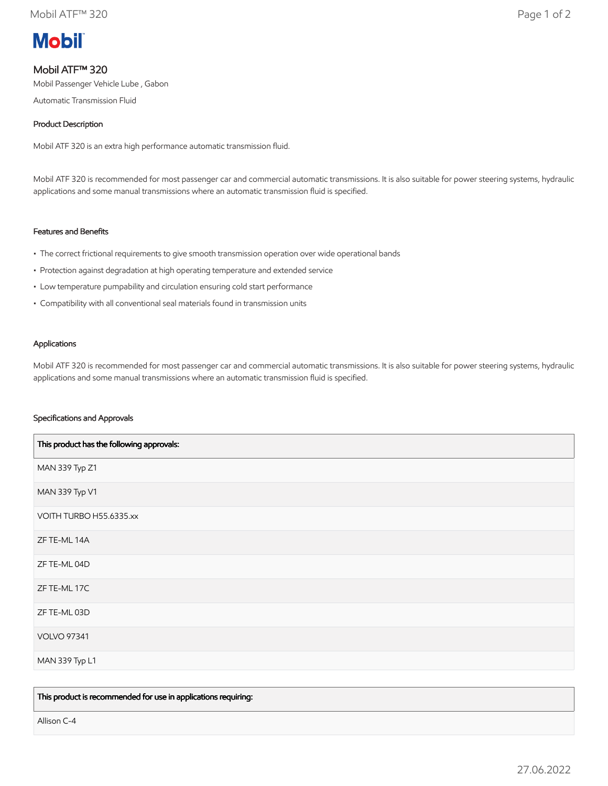

# Mobil ATF™ 320

Mobil Passenger Vehicle Lube , Gabon

Automatic Transmission Fluid

## Product Description

Mobil ATF 320 is an extra high performance automatic transmission fluid.

Mobil ATF 320 is recommended for most passenger car and commercial automatic transmissions. It is also suitable for power steering systems, hydraulic applications and some manual transmissions where an automatic transmission fluid is specified.

# Features and Benefits

- The correct frictional requirements to give smooth transmission operation over wide operational bands
- Protection against degradation at high operating temperature and extended service
- Low temperature pumpability and circulation ensuring cold start performance
- Compatibility with all conventional seal materials found in transmission units

#### Applications

Mobil ATF 320 is recommended for most passenger car and commercial automatic transmissions. It is also suitable for power steering systems, hydraulic applications and some manual transmissions where an automatic transmission fluid is specified.

### Specifications and Approvals

| This product has the following approvals: |
|-------------------------------------------|
| MAN 339 Typ Z1                            |
| MAN 339 Typ V1                            |
| VOITH TURBO H55.6335.xx                   |
| ZF TE-ML 14A                              |
| ZF TE-ML 04D                              |
| ZF TE-ML 17C                              |
| ZF TE-ML 03D                              |
| <b>VOLVO 97341</b>                        |
| MAN 339 Typ L1                            |

This product is recommended for use in applications requiring:

Allison C-4